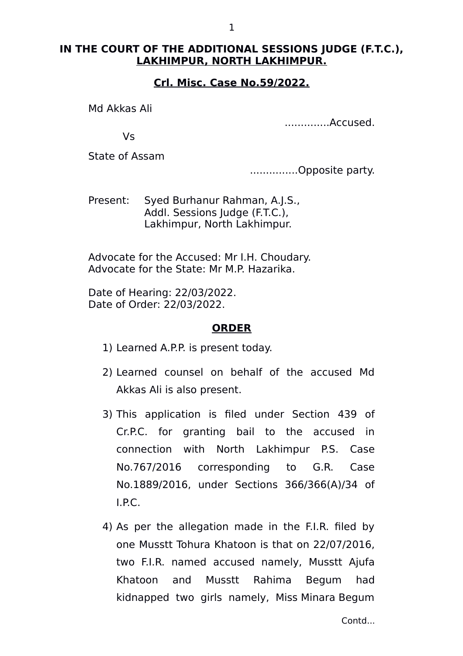## **IN THE COURT OF THE ADDITIONAL SESSIONS JUDGE (F.T.C.), LAKHIMPUR, NORTH LAKHIMPUR.**

## **Crl. Misc. Case No.59/2022.**

Md Akkas Ali

..............Accused.

Vs

State of Assam

...............Opposite party.

Present: Syed Burhanur Rahman, A.J.S., Addl. Sessions Judge (F.T.C.), Lakhimpur, North Lakhimpur.

Advocate for the Accused: Mr I.H. Choudary. Advocate for the State: Mr M.P. Hazarika.

Date of Hearing: 22/03/2022. Date of Order: 22/03/2022.

## **ORDER**

- 1) Learned A.P.P. is present today.
- 2) Learned counsel on behalf of the accused Md Akkas Ali is also present.
- 3) This application is filed under Section 439 of Cr.P.C. for granting bail to the accused in connection with North Lakhimpur P.S. Case No.767/2016 corresponding to G.R. Case No.1889/2016, under Sections 366/366(A)/34 of I.P.C.
- 4) As per the allegation made in the F.I.R. filed by one Musstt Tohura Khatoon is that on 22/07/2016, two F.I.R. named accused namely, Musstt Ajufa Khatoon and Musstt Rahima Begum had kidnapped two girls namely, Miss Minara Begum

Contd...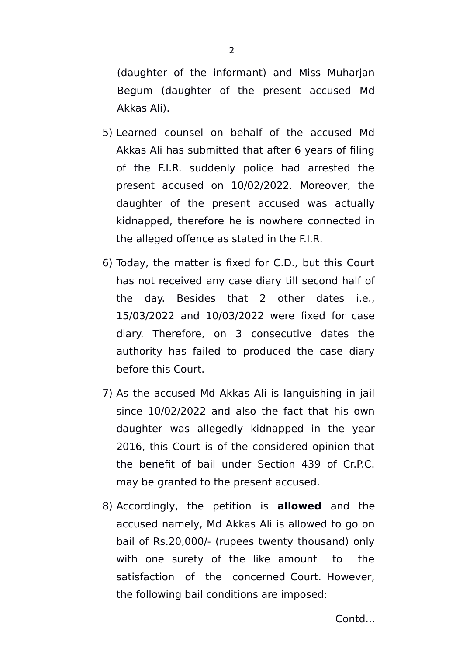(daughter of the informant) and Miss Muharjan Begum (daughter of the present accused Md Akkas Ali).

- 5) Learned counsel on behalf of the accused Md Akkas Ali has submitted that after 6 years of filing of the F.I.R. suddenly police had arrested the present accused on 10/02/2022. Moreover, the daughter of the present accused was actually kidnapped, therefore he is nowhere connected in the alleged offence as stated in the F.I.R.
- 6) Today, the matter is fixed for C.D., but this Court has not received any case diary till second half of the day. Besides that 2 other dates i.e., 15/03/2022 and 10/03/2022 were fixed for case diary. Therefore, on 3 consecutive dates the authority has failed to produced the case diary before this Court.
- 7) As the accused Md Akkas Ali is languishing in jail since 10/02/2022 and also the fact that his own daughter was allegedly kidnapped in the year 2016, this Court is of the considered opinion that the benefit of bail under Section 439 of Cr.P.C. may be granted to the present accused.
- 8) Accordingly, the petition is **allowed** and the accused namely, Md Akkas Ali is allowed to go on bail of Rs.20,000/- (rupees twenty thousand) only with one surety of the like amount to the satisfaction of the concerned Court. However, the following bail conditions are imposed:

Contd...